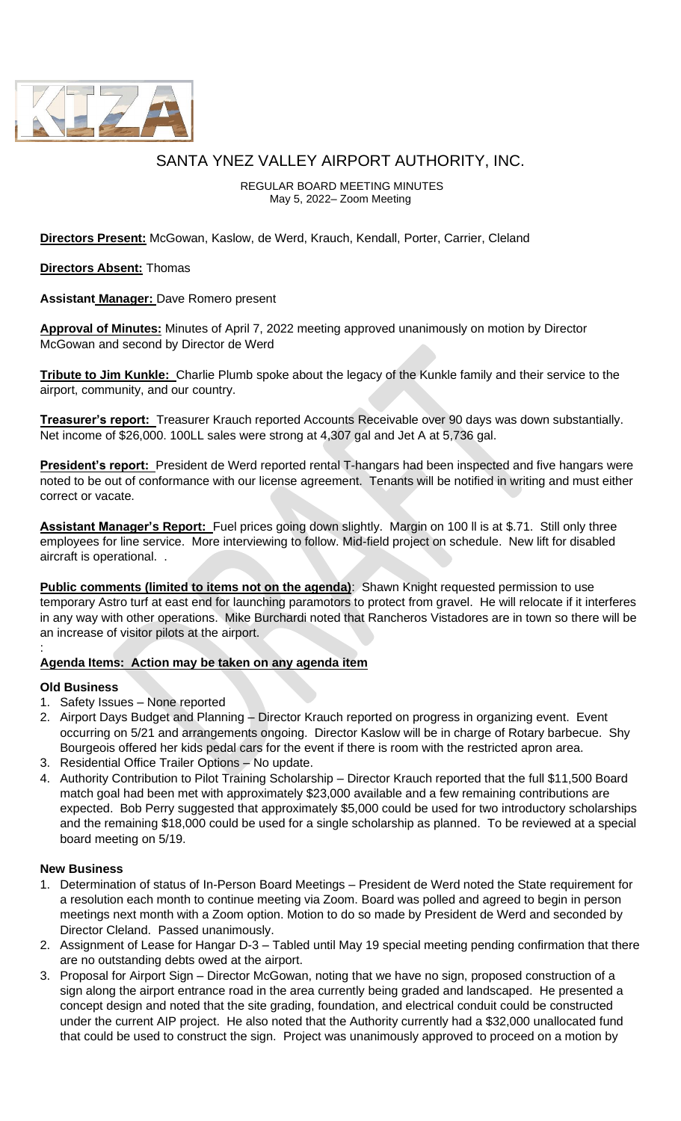

# SANTA YNEZ VALLEY AIRPORT AUTHORITY, INC.

REGULAR BOARD MEETING MINUTES May 5, 2022– Zoom Meeting

**Directors Present:** McGowan, Kaslow, de Werd, Krauch, Kendall, Porter, Carrier, Cleland

**Directors Absent:** Thomas

**Assistant Manager:** Dave Romero present

**Approval of Minutes:** Minutes of April 7, 2022 meeting approved unanimously on motion by Director McGowan and second by Director de Werd

**Tribute to Jim Kunkle:** Charlie Plumb spoke about the legacy of the Kunkle family and their service to the airport, community, and our country.

**Treasurer's report:** Treasurer Krauch reported Accounts Receivable over 90 days was down substantially. Net income of \$26,000. 100LL sales were strong at 4,307 gal and Jet A at 5,736 gal.

**President's report:** President de Werd reported rental T-hangars had been inspected and five hangars were noted to be out of conformance with our license agreement. Tenants will be notified in writing and must either correct or vacate.

**Assistant Manager's Report:** Fuel prices going down slightly. Margin on 100 ll is at \$.71. Still only three employees for line service. More interviewing to follow. Mid-field project on schedule. New lift for disabled aircraft is operational. .

**Public comments (limited to items not on the agenda)**: Shawn Knight requested permission to use temporary Astro turf at east end for launching paramotors to protect from gravel. He will relocate if it interferes in any way with other operations. Mike Burchardi noted that Rancheros Vistadores are in town so there will be an increase of visitor pilots at the airport.

### **Agenda Items: Action may be taken on any agenda item**

#### **Old Business**

:

- 1. Safety Issues None reported
- 2. Airport Days Budget and Planning Director Krauch reported on progress in organizing event. Event occurring on 5/21 and arrangements ongoing. Director Kaslow will be in charge of Rotary barbecue. Shy Bourgeois offered her kids pedal cars for the event if there is room with the restricted apron area.
- 3. Residential Office Trailer Options No update.
- 4. Authority Contribution to Pilot Training Scholarship Director Krauch reported that the full \$11,500 Board match goal had been met with approximately \$23,000 available and a few remaining contributions are expected. Bob Perry suggested that approximately \$5,000 could be used for two introductory scholarships and the remaining \$18,000 could be used for a single scholarship as planned. To be reviewed at a special board meeting on 5/19.

#### **New Business**

- 1. Determination of status of In-Person Board Meetings President de Werd noted the State requirement for a resolution each month to continue meeting via Zoom. Board was polled and agreed to begin in person meetings next month with a Zoom option. Motion to do so made by President de Werd and seconded by Director Cleland. Passed unanimously.
- 2. Assignment of Lease for Hangar D-3 Tabled until May 19 special meeting pending confirmation that there are no outstanding debts owed at the airport.
- 3. Proposal for Airport Sign Director McGowan, noting that we have no sign, proposed construction of a sign along the airport entrance road in the area currently being graded and landscaped. He presented a concept design and noted that the site grading, foundation, and electrical conduit could be constructed under the current AIP project. He also noted that the Authority currently had a \$32,000 unallocated fund that could be used to construct the sign. Project was unanimously approved to proceed on a motion by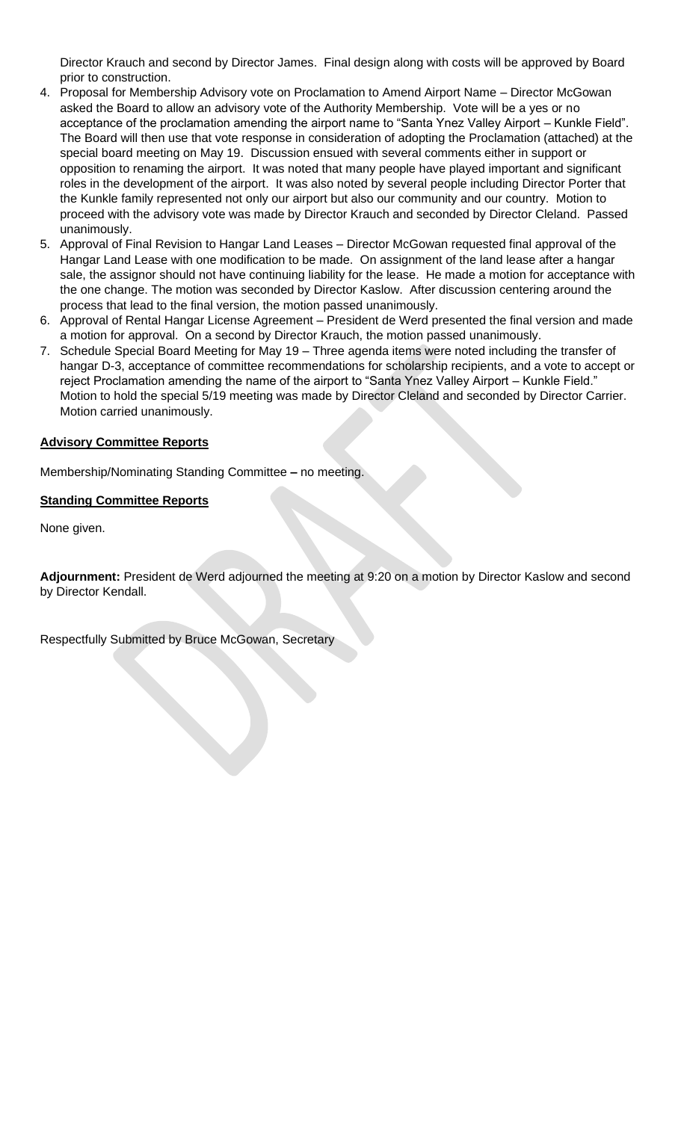Director Krauch and second by Director James. Final design along with costs will be approved by Board prior to construction.

- 4. Proposal for Membership Advisory vote on Proclamation to Amend Airport Name Director McGowan asked the Board to allow an advisory vote of the Authority Membership. Vote will be a yes or no acceptance of the proclamation amending the airport name to "Santa Ynez Valley Airport – Kunkle Field". The Board will then use that vote response in consideration of adopting the Proclamation (attached) at the special board meeting on May 19. Discussion ensued with several comments either in support or opposition to renaming the airport. It was noted that many people have played important and significant roles in the development of the airport. It was also noted by several people including Director Porter that the Kunkle family represented not only our airport but also our community and our country. Motion to proceed with the advisory vote was made by Director Krauch and seconded by Director Cleland. Passed unanimously.
- 5. Approval of Final Revision to Hangar Land Leases Director McGowan requested final approval of the Hangar Land Lease with one modification to be made. On assignment of the land lease after a hangar sale, the assignor should not have continuing liability for the lease. He made a motion for acceptance with the one change. The motion was seconded by Director Kaslow. After discussion centering around the process that lead to the final version, the motion passed unanimously.
- 6. Approval of Rental Hangar License Agreement President de Werd presented the final version and made a motion for approval. On a second by Director Krauch, the motion passed unanimously.
- 7. Schedule Special Board Meeting for May 19 Three agenda items were noted including the transfer of hangar D-3, acceptance of committee recommendations for scholarship recipients, and a vote to accept or reject Proclamation amending the name of the airport to "Santa Ynez Valley Airport – Kunkle Field." Motion to hold the special 5/19 meeting was made by Director Cleland and seconded by Director Carrier. Motion carried unanimously.

#### **Advisory Committee Reports**

Membership/Nominating Standing Committee **–** no meeting.

#### **Standing Committee Reports**

None given.

**Adjournment:** President de Werd adjourned the meeting at 9:20 on a motion by Director Kaslow and second by Director Kendall.

Respectfully Submitted by Bruce McGowan, Secretary